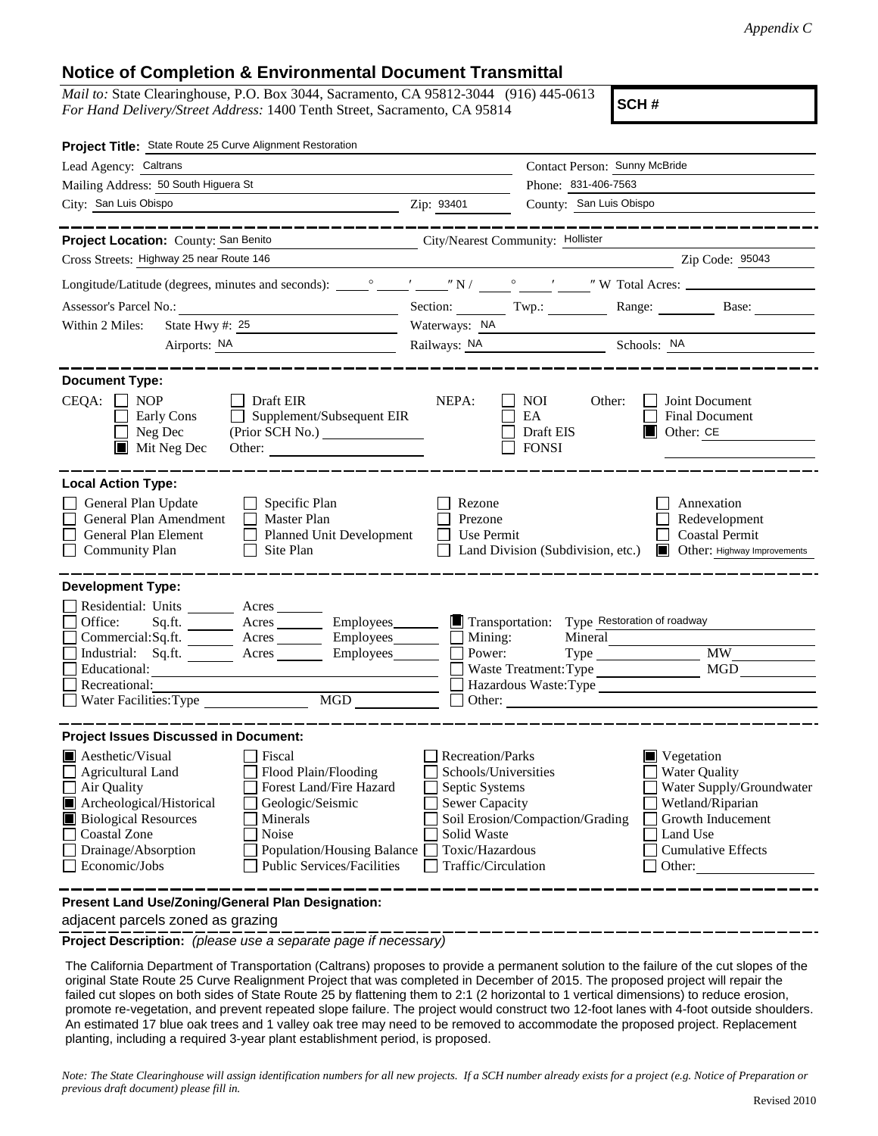## **Notice of Completion & Environmental Document Transmittal**

*Mail to:* State Clearinghouse, P.O. Box 3044, Sacramento, CA 95812-3044 (916) 445-0613 *For Hand Delivery/Street Address:* 1400 Tenth Street, Sacramento, CA 95814

**SCH #**

| Project Title: State Route 25 Curve Alignment Restoration                                                                                                                                                                                                                                                                                                                     |                                                                                                                                                     |                                                                                                                                               |                                                                                                                                                                           |
|-------------------------------------------------------------------------------------------------------------------------------------------------------------------------------------------------------------------------------------------------------------------------------------------------------------------------------------------------------------------------------|-----------------------------------------------------------------------------------------------------------------------------------------------------|-----------------------------------------------------------------------------------------------------------------------------------------------|---------------------------------------------------------------------------------------------------------------------------------------------------------------------------|
| Lead Agency: Caltrans                                                                                                                                                                                                                                                                                                                                                         |                                                                                                                                                     | Contact Person: Sunny McBride                                                                                                                 |                                                                                                                                                                           |
| Mailing Address: 50 South Higuera St                                                                                                                                                                                                                                                                                                                                          | Phone: 831-406-7563                                                                                                                                 |                                                                                                                                               |                                                                                                                                                                           |
| City: San Luis Obispo                                                                                                                                                                                                                                                                                                                                                         | Zip: 93401                                                                                                                                          | County: San Luis Obispo                                                                                                                       |                                                                                                                                                                           |
|                                                                                                                                                                                                                                                                                                                                                                               |                                                                                                                                                     |                                                                                                                                               | _______________                                                                                                                                                           |
| Project Location: County: San Benito<br>City/Nearest Community: Hollister                                                                                                                                                                                                                                                                                                     |                                                                                                                                                     |                                                                                                                                               |                                                                                                                                                                           |
| Cross Streets: Highway 25 near Route 146                                                                                                                                                                                                                                                                                                                                      |                                                                                                                                                     |                                                                                                                                               | Zip Code: 95043                                                                                                                                                           |
|                                                                                                                                                                                                                                                                                                                                                                               |                                                                                                                                                     |                                                                                                                                               |                                                                                                                                                                           |
| Assessor's Parcel No.:<br><u> 1989 - Johann Barbara, martin a</u>                                                                                                                                                                                                                                                                                                             | Section: Twp.:                                                                                                                                      |                                                                                                                                               | Range: Base:                                                                                                                                                              |
| State Hwy $\#$ : 25<br>Within 2 Miles:                                                                                                                                                                                                                                                                                                                                        |                                                                                                                                                     | Waterways: NA                                                                                                                                 |                                                                                                                                                                           |
|                                                                                                                                                                                                                                                                                                                                                                               |                                                                                                                                                     | Railways: NA Schools: NA                                                                                                                      |                                                                                                                                                                           |
| <b>Document Type:</b><br>$CEQA: \Box NP$<br>Draft EIR<br>Supplement/Subsequent EIR<br>Early Cons<br>$\Box$ Neg Dec<br>$\blacksquare$ Mit Neg Dec<br>Other:                                                                                                                                                                                                                    | NEPA:                                                                                                                                               | <b>NOI</b><br>Other:<br>EA<br>Draft EIS<br><b>FONSI</b>                                                                                       | Joint Document<br>Final Document<br>$\blacksquare$<br>Other: CE                                                                                                           |
| <b>Local Action Type:</b><br>General Plan Update<br>$\Box$ Specific Plan<br>General Plan Amendment<br>$\Box$ Master Plan<br>Planned Unit Development<br>General Plan Element<br>$\Box$<br><b>Community Plan</b><br>$\Box$ Site Plan                                                                                                                                           | Rezone<br>Prezone<br>$\Box$ Use Permit                                                                                                              | Land Division (Subdivision, etc.)                                                                                                             | Annexation<br>Redevelopment<br><b>Coastal Permit</b><br>Other: Highway Improvements                                                                                       |
| <b>Development Type:</b>                                                                                                                                                                                                                                                                                                                                                      |                                                                                                                                                     |                                                                                                                                               |                                                                                                                                                                           |
| Residential: Units ________ Acres ______<br>Office:<br>Acres __________ Employees_________<br>Sq.ft. $\frac{1}{\sqrt{2}}$<br>$Commercial:Sq.fit.$ Acres Employees $\Box$ Mining:<br>Industrial: Sq.ft. _______ Acres _______ Employees_______<br>Educational:<br>Recreational:<br>Water Facilities: Type<br>MGD                                                               | Power:<br>Other:                                                                                                                                    | Transportation: Type Restoration of roadway<br>Mineral<br>Waste Treatment: Type<br>Hazardous Waste:Type<br><u> 1980 - Jan Barat, martin a</u> | Type MW<br>MGD                                                                                                                                                            |
| <b>Project Issues Discussed in Document:</b>                                                                                                                                                                                                                                                                                                                                  |                                                                                                                                                     |                                                                                                                                               |                                                                                                                                                                           |
| $\blacksquare$ Aesthetic/Visual<br>Fiscal<br>Flood Plain/Flooding<br><b>Agricultural Land</b><br>Forest Land/Fire Hazard<br>Air Quality<br>Archeological/Historical<br>Geologic/Seismic<br><b>Biological Resources</b><br>Minerals<br><b>Coastal Zone</b><br>Noise<br>Drainage/Absorption<br>Population/Housing Balance<br>Economic/Jobs<br><b>Public Services/Facilities</b> | <b>Recreation/Parks</b><br>Schools/Universities<br>Septic Systems<br><b>Sewer Capacity</b><br>Solid Waste<br>Toxic/Hazardous<br>Traffic/Circulation | Soil Erosion/Compaction/Grading                                                                                                               | $\blacksquare$ Vegetation<br><b>Water Quality</b><br>Water Supply/Groundwater<br>Wetland/Riparian<br>Growth Inducement<br>Land Use<br><b>Cumulative Effects</b><br>Other: |
| Present Land Use/Zoning/General Plan Designation:                                                                                                                                                                                                                                                                                                                             |                                                                                                                                                     |                                                                                                                                               |                                                                                                                                                                           |

adjacent parcels zoned as grazing

**Project Description:** *(please use a separate page if necessary)*

 The California Department of Transportation (Caltrans) proposes to provide a permanent solution to the failure of the cut slopes of the original State Route 25 Curve Realignment Project that was completed in December of 2015. The proposed project will repair the failed cut slopes on both sides of State Route 25 by flattening them to 2:1 (2 horizontal to 1 vertical dimensions) to reduce erosion, promote re-vegetation, and prevent repeated slope failure. The project would construct two 12-foot lanes with 4-foot outside shoulders. An estimated 17 blue oak trees and 1 valley oak tree may need to be removed to accommodate the proposed project. Replacement planting, including a required 3-year plant establishment period, is proposed.

*Note: The State Clearinghouse will assign identification numbers for all new projects. If a SCH number already exists for a project (e.g. Notice of Preparation or previous draft document) please fill in.*